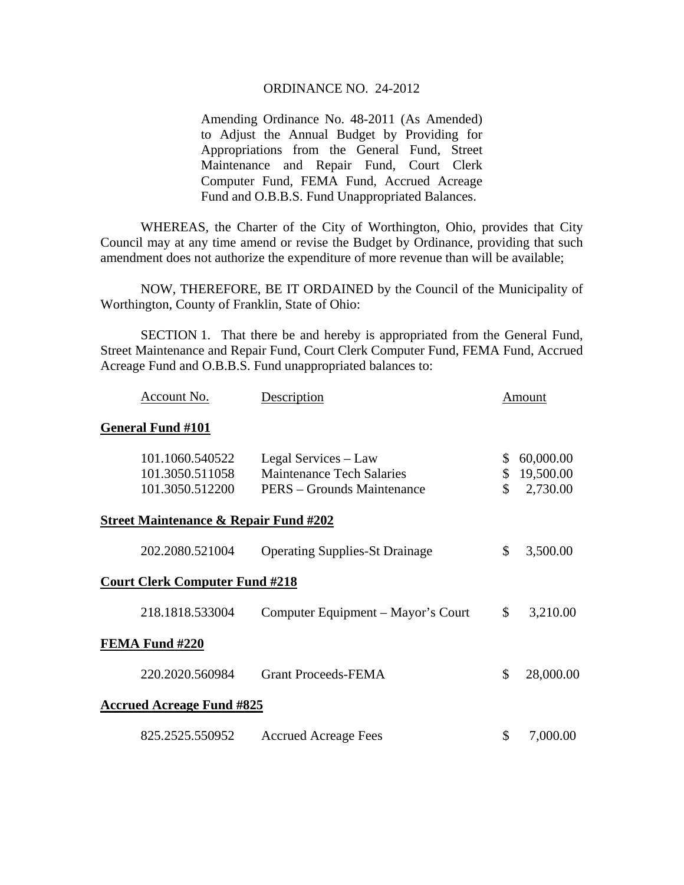## ORDINANCE NO. 24-2012

Amending Ordinance No. 48-2011 (As Amended) to Adjust the Annual Budget by Providing for Appropriations from the General Fund, Street Maintenance and Repair Fund, Court Clerk Computer Fund, FEMA Fund, Accrued Acreage Fund and O.B.B.S. Fund Unappropriated Balances.

 WHEREAS, the Charter of the City of Worthington, Ohio, provides that City Council may at any time amend or revise the Budget by Ordinance, providing that such amendment does not authorize the expenditure of more revenue than will be available;

 NOW, THEREFORE, BE IT ORDAINED by the Council of the Municipality of Worthington, County of Franklin, State of Ohio:

 SECTION 1. That there be and hereby is appropriated from the General Fund, Street Maintenance and Repair Fund, Court Clerk Computer Fund, FEMA Fund, Accrued Acreage Fund and O.B.B.S. Fund unappropriated balances to:

|                                                  | Account No.                        | Description                                                    |          | Amount                |  |  |
|--------------------------------------------------|------------------------------------|----------------------------------------------------------------|----------|-----------------------|--|--|
|                                                  | <b>General Fund #101</b>           |                                                                |          |                       |  |  |
|                                                  | 101.1060.540522                    | Legal Services – Law                                           | \$       | 60,000.00             |  |  |
|                                                  | 101.3050.511058<br>101.3050.512200 | <b>Maintenance Tech Salaries</b><br>PERS – Grounds Maintenance | \$<br>\$ | 19,500.00<br>2,730.00 |  |  |
|                                                  |                                    |                                                                |          |                       |  |  |
| <u>Street Maintenance &amp; Repair Fund #202</u> |                                    |                                                                |          |                       |  |  |
|                                                  | 202.2080.521004                    | <b>Operating Supplies-St Drainage</b>                          | \$       | 3,500.00              |  |  |
| <b>Court Clerk Computer Fund #218</b>            |                                    |                                                                |          |                       |  |  |
|                                                  | 218.1818.533004                    | Computer Equipment – Mayor's Court                             | \$       | 3,210.00              |  |  |
| FEMA Fund #220                                   |                                    |                                                                |          |                       |  |  |
|                                                  | 220.2020.560984                    | <b>Grant Proceeds-FEMA</b>                                     | \$       | 28,000.00             |  |  |
| <b>Accrued Acreage Fund #825</b>                 |                                    |                                                                |          |                       |  |  |
|                                                  | 825.2525.550952                    | <b>Accrued Acreage Fees</b>                                    | \$       | 7,000.00              |  |  |